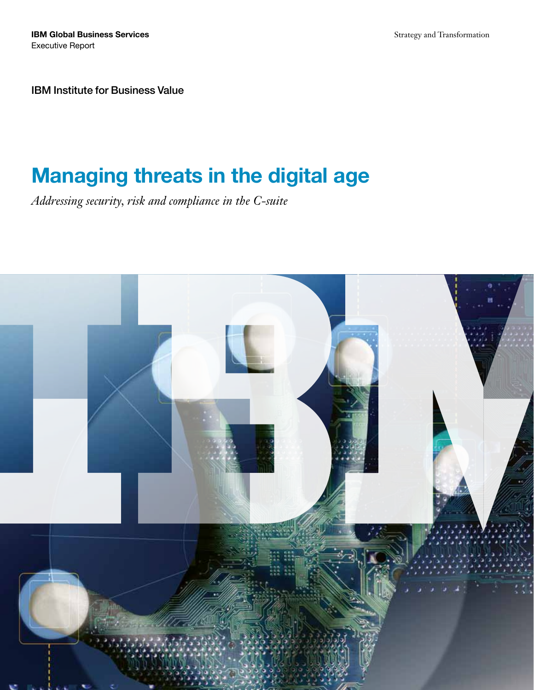**IBM Global Business Services** Executive Report

Strategy and Transformation

IBM Institute for Business Value

## Managing threats in the digital age

*Addressing security, risk and compliance in the C-suite*

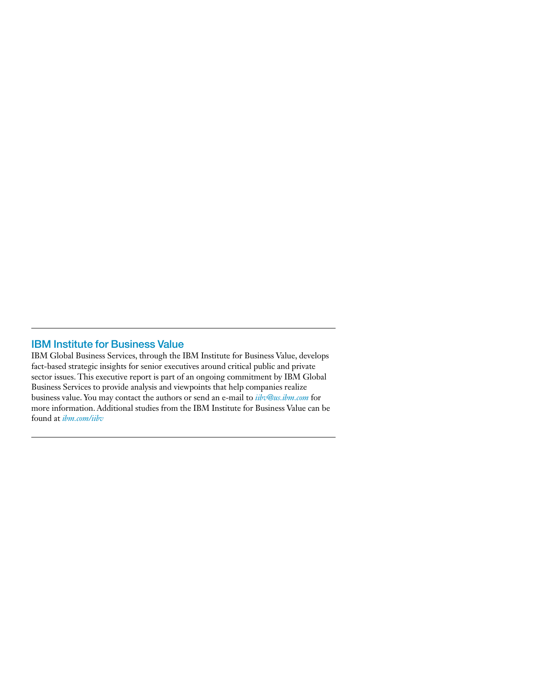## IBM Institute for Business Value

IBM Global Business Services, through the IBM Institute for Business Value, develops fact-based strategic insights for senior executives around critical public and private sector issues. This executive report is part of an ongoing commitment by IBM Global Business Services to provide analysis and viewpoints that help companies realize business value. You may contact the authors or send an e-mail to *iibv@us.ibm.com* for more information. Additional studies from the IBM Institute for Business Value can be found at *ibm.com/iibv*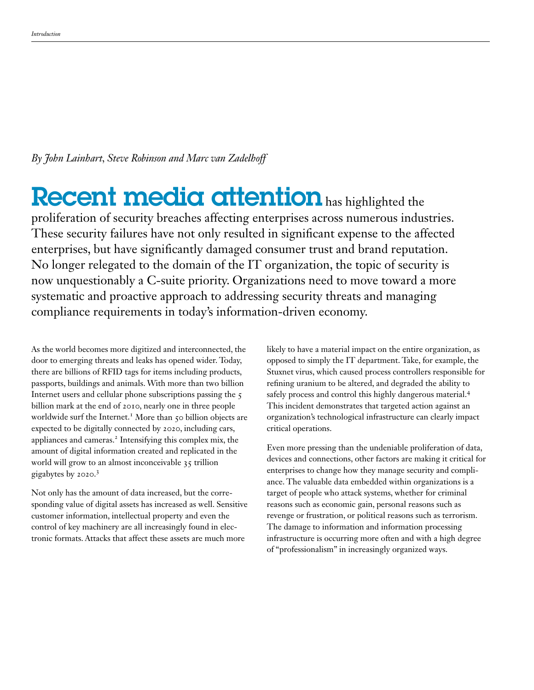*By John Lainhart, Steve Robinson and Marc van Zadelhoff* 

# Recent media attention has highlighted the

proliferation of security breaches affecting enterprises across numerous industries. These security failures have not only resulted in significant expense to the affected enterprises, but have significantly damaged consumer trust and brand reputation. No longer relegated to the domain of the IT organization, the topic of security is now unquestionably a C-suite priority. Organizations need to move toward a more systematic and proactive approach to addressing security threats and managing compliance requirements in today's information-driven economy.

As the world becomes more digitized and interconnected, the door to emerging threats and leaks has opened wider. Today, there are billions of RFID tags for items including products, passports, buildings and animals. With more than two billion Internet users and cellular phone subscriptions passing the 5 billion mark at the end of 2010, nearly one in three people worldwide surf the Internet.<sup>1</sup> More than 50 billion objects are expected to be digitally connected by 2020, including cars, appliances and cameras.<sup>2</sup> Intensifying this complex mix, the amount of digital information created and replicated in the world will grow to an almost inconceivable 35 trillion gigabytes by 2020.3

Not only has the amount of data increased, but the corresponding value of digital assets has increased as well. Sensitive customer information, intellectual property and even the control of key machinery are all increasingly found in electronic formats. Attacks that affect these assets are much more

likely to have a material impact on the entire organization, as opposed to simply the IT department. Take, for example, the Stuxnet virus, which caused process controllers responsible for refining uranium to be altered, and degraded the ability to safely process and control this highly dangerous material.4 This incident demonstrates that targeted action against an organization's technological infrastructure can clearly impact critical operations.

Even more pressing than the undeniable proliferation of data, devices and connections, other factors are making it critical for enterprises to change how they manage security and compliance. The valuable data embedded within organizations is a target of people who attack systems, whether for criminal reasons such as economic gain, personal reasons such as revenge or frustration, or political reasons such as terrorism. The damage to information and information processing infrastructure is occurring more often and with a high degree of "professionalism" in increasingly organized ways.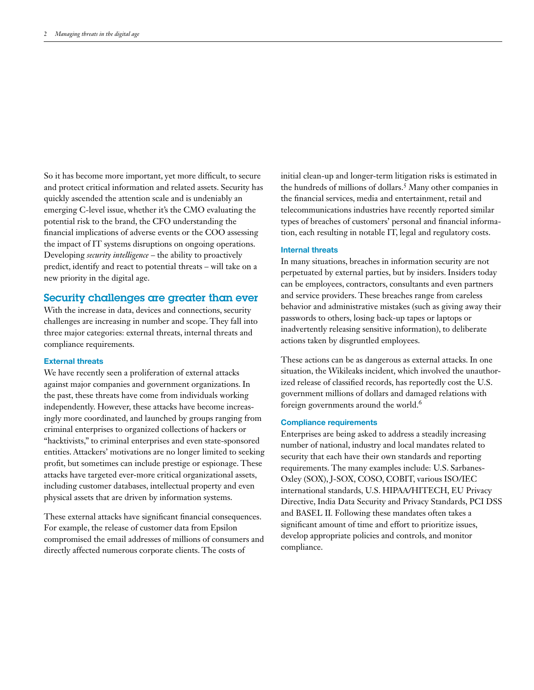So it has become more important, yet more difficult, to secure and protect critical information and related assets. Security has quickly ascended the attention scale and is undeniably an emerging C-level issue, whether it's the CMO evaluating the potential risk to the brand, the CFO understanding the financial implications of adverse events or the COO assessing the impact of IT systems disruptions on ongoing operations. Developing *security intelligence* – the ability to proactively predict, identify and react to potential threats – will take on a new priority in the digital age.

#### Security challenges are greater than ever

With the increase in data, devices and connections, security challenges are increasing in number and scope. They fall into three major categories: external threats, internal threats and compliance requirements.

#### **External threats**

We have recently seen a proliferation of external attacks against major companies and government organizations. In the past, these threats have come from individuals working independently. However, these attacks have become increasingly more coordinated, and launched by groups ranging from criminal enterprises to organized collections of hackers or "hacktivists," to criminal enterprises and even state-sponsored entities. Attackers' motivations are no longer limited to seeking profit, but sometimes can include prestige or espionage. These attacks have targeted ever-more critical organizational assets, including customer databases, intellectual property and even physical assets that are driven by information systems.

These external attacks have significant financial consequences. For example, the release of customer data from Epsilon compromised the email addresses of millions of consumers and directly affected numerous corporate clients. The costs of

initial clean-up and longer-term litigation risks is estimated in the hundreds of millions of dollars.<sup>5</sup> Many other companies in the financial services, media and entertainment, retail and telecommunications industries have recently reported similar types of breaches of customers' personal and financial information, each resulting in notable IT, legal and regulatory costs.

#### **Internal threats**

In many situations, breaches in information security are not perpetuated by external parties, but by insiders. Insiders today can be employees, contractors, consultants and even partners and service providers. These breaches range from careless behavior and administrative mistakes (such as giving away their passwords to others, losing back-up tapes or laptops or inadvertently releasing sensitive information), to deliberate actions taken by disgruntled employees.

These actions can be as dangerous as external attacks. In one situation, the Wikileaks incident, which involved the unauthorized release of classified records, has reportedly cost the U.S. government millions of dollars and damaged relations with foreign governments around the world.<sup>6</sup>

#### **Compliance requirements**

Enterprises are being asked to address a steadily increasing number of national, industry and local mandates related to security that each have their own standards and reporting requirements. The many examples include: U.S. Sarbanes-Oxley (SOX), J-SOX, COSO, COBIT, various ISO/IEC international standards, U.S. HIPAA/HITECH, EU Privacy Directive, India Data Security and Privacy Standards, PCI DSS and BASEL II*.* Following these mandates often takes a significant amount of time and effort to prioritize issues, develop appropriate policies and controls, and monitor compliance.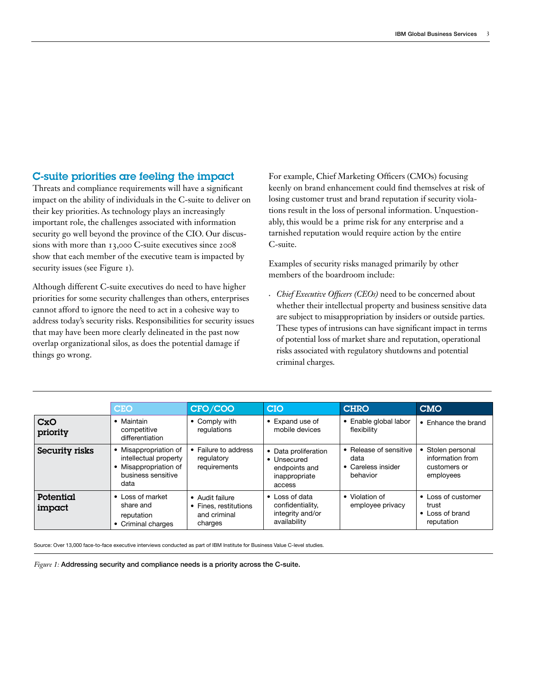## C-suite priorities are feeling the impact

Threats and compliance requirements will have a significant impact on the ability of individuals in the C-suite to deliver on their key priorities. As technology plays an increasingly important role, the challenges associated with information security go well beyond the province of the CIO. Our discussions with more than 13,000 C-suite executives since 2008 show that each member of the executive team is impacted by security issues (see Figure 1).

Although different C-suite executives do need to have higher priorities for some security challenges than others, enterprises cannot afford to ignore the need to act in a cohesive way to address today's security risks. Responsibilities for security issues that may have been more clearly delineated in the past now overlap organizational silos, as does the potential damage if things go wrong.

For example, Chief Marketing Officers (CMOs) focusing keenly on brand enhancement could find themselves at risk of losing customer trust and brand reputation if security violations result in the loss of personal information. Unquestionably, this would be a prime risk for any enterprise and a tarnished reputation would require action by the entire C-suite.

Examples of security risks managed primarily by other members of the boardroom include:

*• Chief Executive Officers (CEOs)* need to be concerned about whether their intellectual property and business sensitive data are subject to misappropriation by insiders or outside parties. These types of intrusions can have significant impact in terms of potential loss of market share and reputation, operational risks associated with regulatory shutdowns and potential criminal charges.

|                        | <b>CEO</b>                                                                                          | CFO/COO                                                             | <b>CIO</b>                                                                      | <b>CHRO</b>                                                      | <b>CMO</b>                                                         |
|------------------------|-----------------------------------------------------------------------------------------------------|---------------------------------------------------------------------|---------------------------------------------------------------------------------|------------------------------------------------------------------|--------------------------------------------------------------------|
| <b>CxO</b><br>priority | Maintain<br>competitive<br>differentiation                                                          | • Comply with<br>regulations                                        | • Expand use of<br>mobile devices                                               | • Enable global labor<br>flexibility                             | • Enhance the brand                                                |
| Security risks         | • Misappropriation of<br>intellectual property<br>Misappropriation of<br>business sensitive<br>data | Failure to address<br>regulatory<br>requirements                    | • Data proliferation<br>• Unsecured<br>endpoints and<br>inappropriate<br>access | • Release of sensitive<br>data<br>• Careless insider<br>behavior | • Stolen personal<br>information from<br>customers or<br>employees |
| Potential<br>impact    | • Loss of market<br>share and<br>reputation<br>Criminal charges                                     | • Audit failure<br>• Fines, restitutions<br>and criminal<br>charges | $\bullet$ Loss of data<br>confidentiality.<br>integrity and/or<br>availability  | • Violation of<br>employee privacy                               | • Loss of customer<br>trust<br>• Loss of brand<br>reputation       |

Source: Over 13,000 face-to-face executive interviews conducted as part of IBM Institute for Business Value C-level studies.

*Figure 1:* Addressing security and compliance needs is a priority across the C-suite.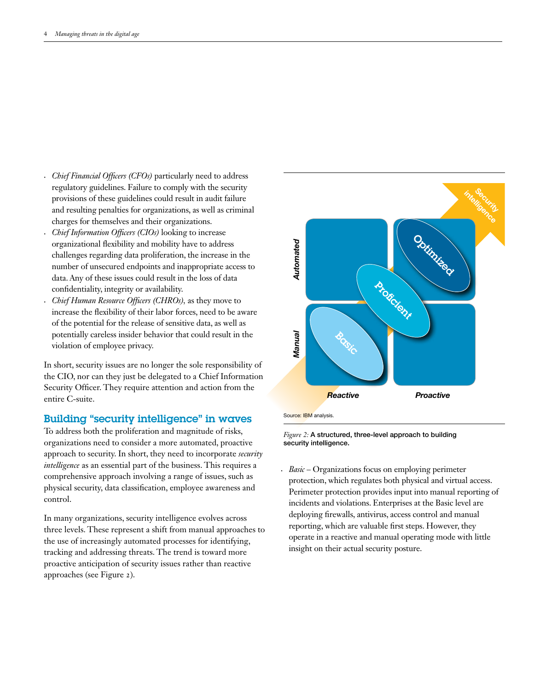- *Chief Financial Officers (CFOs)* particularly need to address regulatory guidelines. Failure to comply with the security provisions of these guidelines could result in audit failure and resulting penalties for organizations, as well as criminal charges for themselves and their organizations.
- *• Chief Information Officers (CIOs)* looking to increase organizational flexibility and mobility have to address challenges regarding data proliferation, the increase in the number of unsecured endpoints and inappropriate access to data. Any of these issues could result in the loss of data confidentiality, integrity or availability.
- *Chief Human Resource Officers (CHROs)*, as they move to increase the flexibility of their labor forces, need to be aware of the potential for the release of sensitive data, as well as potentially careless insider behavior that could result in the violation of employee privacy.

In short, security issues are no longer the sole responsibility of the CIO, nor can they just be delegated to a Chief Information Security Officer. They require attention and action from the entire C-suite.

## Building "security intelligence" in waves

To address both the proliferation and magnitude of risks, organizations need to consider a more automated, proactive approach to security. In short, they need to incorporate *security intelligence* as an essential part of the business. This requires a comprehensive approach involving a range of issues, such as physical security, data classification, employee awareness and control.

In many organizations, security intelligence evolves across three levels. These represent a shift from manual approaches to the use of increasingly automated processes for identifying, tracking and addressing threats. The trend is toward more proactive anticipation of security issues rather than reactive approaches (see Figure 2).





*Basic* – Organizations focus on employing perimeter protection, which regulates both physical and virtual access. Perimeter protection provides input into manual reporting of incidents and violations. Enterprises at the Basic level are deploying firewalls, antivirus, access control and manual reporting, which are valuable first steps. However, they operate in a reactive and manual operating mode with little insight on their actual security posture.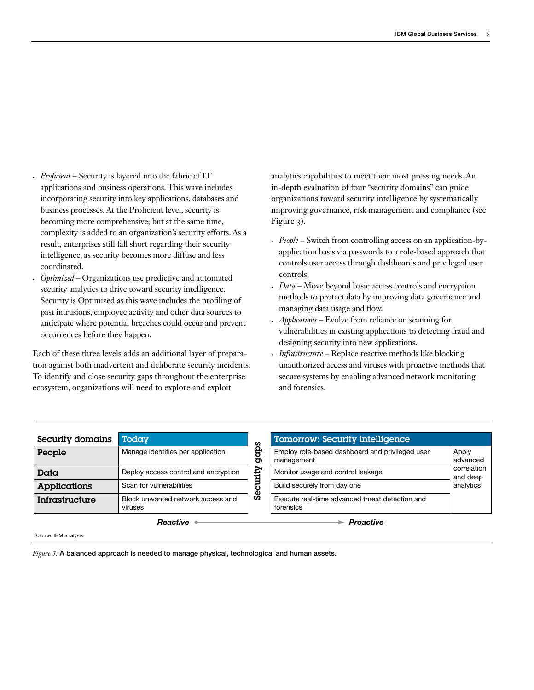- *Proficient* Security is layered into the fabric of IT applications and business operations. This wave includes incorporating security into key applications, databases and business processes. At the Proficient level, security is becoming more comprehensive; but at the same time, complexity is added to an organization's security efforts. As a result, enterprises still fall short regarding their security intelligence, as security becomes more diffuse and less coordinated.
- *Optimized* Organizations use predictive and automated security analytics to drive toward security intelligence. Security is Optimized as this wave includes the profiling of past intrusions, employee activity and other data sources to anticipate where potential breaches could occur and prevent occurrences before they happen.

Each of these three levels adds an additional layer of preparation against both inadvertent and deliberate security incidents. To identify and close security gaps throughout the enterprise ecosystem, organizations will need to explore and exploit

analytics capabilities to meet their most pressing needs. An in-depth evaluation of four "security domains" can guide organizations toward security intelligence by systematically improving governance, risk management and compliance (see Figure 3).

- *• People* Switch from controlling access on an application-byapplication basis via passwords to a role-based approach that controls user access through dashboards and privileged user controls.
- Data Move beyond basic access controls and encryption methods to protect data by improving data governance and managing data usage and flow.
- *Applications* Evolve from reliance on scanning for vulnerabilities in existing applications to detecting fraud and designing security into new applications.
- *• Infrastructure* Replace reactive methods like blocking unauthorized access and viruses with proactive methods that secure systems by enabling advanced network monitoring and forensics.

| Security domains | Today                                        |         | <b>Tomorrow: Security intelligence</b>                        |  |  |
|------------------|----------------------------------------------|---------|---------------------------------------------------------------|--|--|
| People           | Manage identities per application            | gà<br>ත | Employ role-based dashboard and privileged user<br>management |  |  |
| Data             | Deploy access control and encryption         | tity    | Monitor usage and control leakage                             |  |  |
| Applications     | Scan for vulnerabilities                     |         | Build securely from day one                                   |  |  |
| Infrastructure   | Block unwanted network access and<br>viruses | ಹಿ      | Execute real-time advanced threat detection and<br>forensics  |  |  |

| <b>Tomorrow: Security intelligence</b>                        |                                      |  |
|---------------------------------------------------------------|--------------------------------------|--|
| Employ role-based dashboard and privileged user<br>management | Apply<br>advanced                    |  |
| Monitor usage and control leakage                             | correlation<br>and deep<br>analytics |  |
| Build securely from day one                                   |                                      |  |
| Execute real-time advanced threat detection and<br>forensics  |                                      |  |
| roactive                                                      |                                      |  |

Source: IBM analysis.

*Figure 3*: A balanced approach is needed to manage physical, technological and human assets.

*Reactive*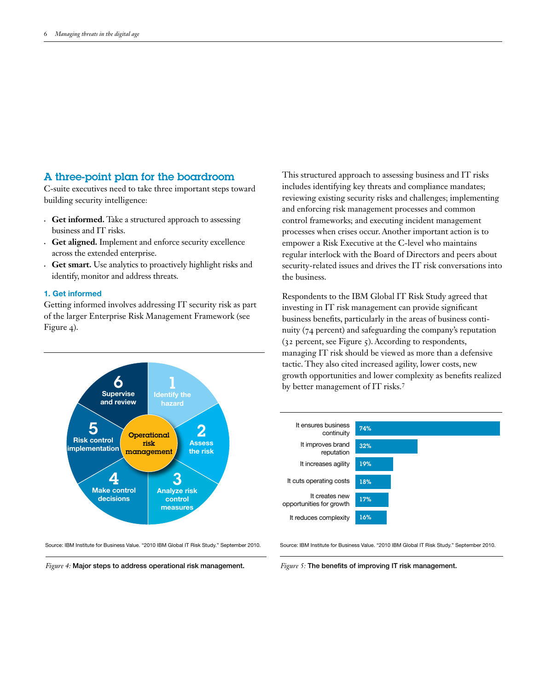## A three-point plan for the boardroom

C-suite executives need to take three important steps toward building security intelligence:

- **• Get informed.** Take a structured approach to assessing business and IT risks.
- **• Get aligned.** Implement and enforce security excellence across the extended enterprise.
- **• Get smart.** Use analytics to proactively highlight risks and identify, monitor and address threats.

#### **1. Get informed**

Getting informed involves addressing IT security risk as part of the larger Enterprise Risk Management Framework (see Figure 4).



Source: IBM Institute for Business Value. "2010 IBM Global IT Risk Study." September 2010.

*Figure 4:* Major steps to address operational risk management.

This structured approach to assessing business and IT risks includes identifying key threats and compliance mandates; reviewing existing security risks and challenges; implementing and enforcing risk management processes and common control frameworks; and executing incident management processes when crises occur. Another important action is to empower a Risk Executive at the C-level who maintains regular interlock with the Board of Directors and peers about security-related issues and drives the IT risk conversations into the business.

Respondents to the IBM Global IT Risk Study agreed that investing in IT risk management can provide significant business benefits, particularly in the areas of business continuity (74 percent) and safeguarding the company's reputation  $(32$  percent, see Figure  $5)$ . According to respondents, managing IT risk should be viewed as more than a defensive tactic. They also cited increased agility, lower costs, new growth opportunities and lower complexity as benefits realized by better management of IT risks.<sup>7</sup>



Source: IBM Institute for Business Value. "2010 IBM Global IT Risk Study." September 2010.

*Figure 5:* The benefits of improving IT risk management.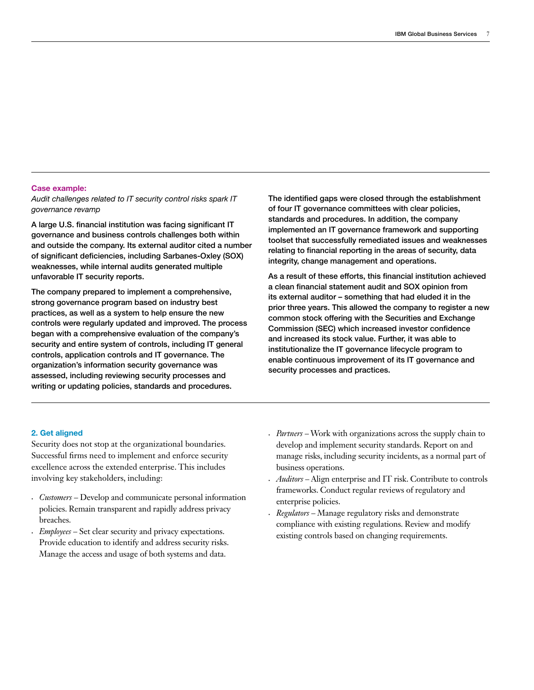#### **Case example:**

*Audit challenges related to IT security control risks spark IT governance revamp*

A large U.S. financial institution was facing significant IT governance and business controls challenges both within and outside the company. Its external auditor cited a number of significant deficiencies, including Sarbanes-Oxley (SOX) weaknesses, while internal audits generated multiple unfavorable IT security reports.

The company prepared to implement a comprehensive, strong governance program based on industry best practices, as well as a system to help ensure the new controls were regularly updated and improved. The process began with a comprehensive evaluation of the company's security and entire system of controls, including IT general controls, application controls and IT governance. The organization's information security governance was assessed, including reviewing security processes and writing or updating policies, standards and procedures.

The identified gaps were closed through the establishment of four IT governance committees with clear policies, standards and procedures. In addition, the company implemented an IT governance framework and supporting toolset that successfully remediated issues and weaknesses relating to financial reporting in the areas of security, data integrity, change management and operations.

As a result of these efforts, this financial institution achieved a clean financial statement audit and SOX opinion from its external auditor – something that had eluded it in the prior three years. This allowed the company to register a new common stock offering with the Securities and Exchange Commission (SEC) which increased investor confidence and increased its stock value. Further, it was able to institutionalize the IT governance lifecycle program to enable continuous improvement of its IT governance and security processes and practices.

#### **2. Get aligned**

Security does not stop at the organizational boundaries. Successful firms need to implement and enforce security excellence across the extended enterprise. This includes involving key stakeholders, including:

- *• Customers* Develop and communicate personal information policies. Remain transparent and rapidly address privacy breaches.
- *Employees* Set clear security and privacy expectations. Provide education to identify and address security risks. Manage the access and usage of both systems and data.
- *• Partners –* Work with organizations across the supply chain to develop and implement security standards. Report on and manage risks, including security incidents, as a normal part of business operations.
- *• Auditors –* Align enterprise and IT risk. Contribute to controls frameworks. Conduct regular reviews of regulatory and enterprise policies.
- *Regulators* Manage regulatory risks and demonstrate compliance with existing regulations. Review and modify existing controls based on changing requirements.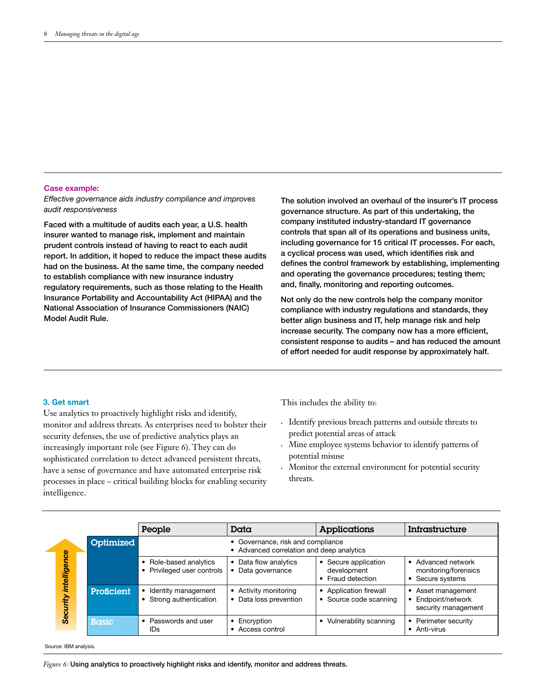#### **Case example:**

*Effective governance aids industry compliance and improves audit responsiveness*

Faced with a multitude of audits each year, a U.S. health insurer wanted to manage risk, implement and maintain prudent controls instead of having to react to each audit report. In addition, it hoped to reduce the impact these audits had on the business. At the same time, the company needed to establish compliance with new insurance industry regulatory requirements, such as those relating to the Health Insurance Portability and Accountability Act (HIPAA) and the National Association of Insurance Commissioners (NAIC) Model Audit Rule.

The solution involved an overhaul of the insurer's IT process governance structure. As part of this undertaking, the company instituted industry-standard IT governance controls that span all of its operations and business units, including governance for 15 critical IT processes. For each, a cyclical process was used, which identifies risk and defines the control framework by establishing, implementing and operating the governance procedures; testing them; and, finally, monitoring and reporting outcomes.

Not only do the new controls help the company monitor compliance with industry regulations and standards, they better align business and IT, help manage risk and help increase security. The company now has a more efficient, consistent response to audits – and has reduced the amount of effort needed for audit response by approximately half.

#### **3. Get smart**

Use analytics to proactively highlight risks and identify, monitor and address threats. As enterprises need to bolster their security defenses, the use of predictive analytics plays an increasingly important role (see Figure 6). They can do sophisticated correlation to detect advanced persistent threats, have a sense of governance and have automated enterprise risk processes in place – critical building blocks for enabling security intelligence.

This includes the ability to:

- • Identify previous breach patterns and outside threats to predict potential areas of attack
- • Mine employee systems behavior to identify patterns of potential misuse
- Monitor the external environment for potential security threats.

|                          |              | People                                                                         | Data                                            | Applications                                                                   | Infrastructure                                                 |
|--------------------------|--------------|--------------------------------------------------------------------------------|-------------------------------------------------|--------------------------------------------------------------------------------|----------------------------------------------------------------|
| intelligence<br>Security | Optimized    | • Governance, risk and compliance<br>• Advanced correlation and deep analytics |                                                 |                                                                                |                                                                |
|                          |              | • Role-based analytics<br>• Privileged user controls                           | • Data flow analytics<br>• Data governance      | Secure application<br>$\bullet$<br>development<br>Fraud detection<br>$\bullet$ | • Advanced network<br>monitoring/forensics<br>• Secure systems |
|                          | Proficient   | • Identity management<br>• Strong authentication                               | • Activity monitoring<br>• Data loss prevention | Application firewall<br>$\bullet$<br>Source code scanning<br>$\bullet$         | • Asset management<br>Endpoint/network<br>security management  |
|                          | <b>Basic</b> | • Passwords and user<br>IDs                                                    | $\bullet$ Encryption<br>• Access control        | Vulnerability scanning<br>$\bullet$                                            | Perimeter security<br>• Anti-virus                             |

Source: IBM analysis.

*Figure 6:* Using analytics to proactively highlight risks and identify, monitor and address threats.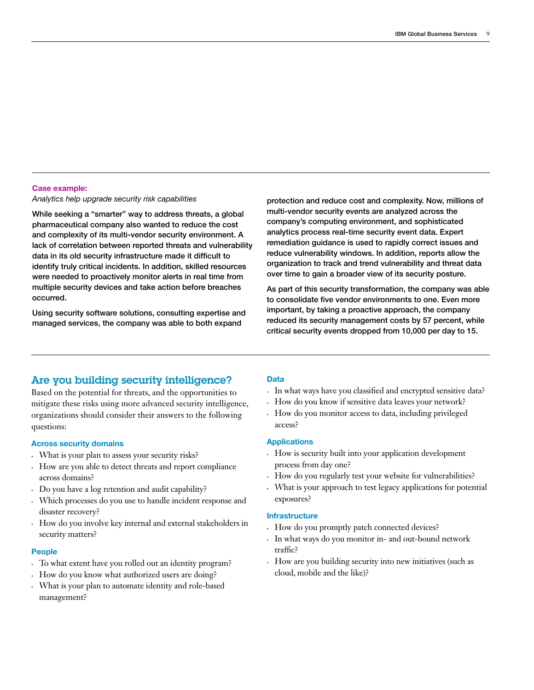#### **Case example:**

*Analytics help upgrade security risk capabilities* 

While seeking a "smarter" way to address threats, a global pharmaceutical company also wanted to reduce the cost and complexity of its multi-vendor security environment. A lack of correlation between reported threats and vulnerability data in its old security infrastructure made it difficult to identify truly critical incidents. In addition, skilled resources were needed to proactively monitor alerts in real time from multiple security devices and take action before breaches occurred.

Using security software solutions, consulting expertise and managed services, the company was able to both expand

protection and reduce cost and complexity. Now, millions of multi-vendor security events are analyzed across the company's computing environment, and sophisticated analytics process real-time security event data. Expert remediation guidance is used to rapidly correct issues and reduce vulnerability windows. In addition, reports allow the organization to track and trend vulnerability and threat data over time to gain a broader view of its security posture.

As part of this security transformation, the company was able to consolidate five vendor environments to one. Even more important, by taking a proactive approach, the company reduced its security management costs by 57 percent, while critical security events dropped from 10,000 per day to 15.

## Are you building security intelligence?

Based on the potential for threats, and the opportunities to mitigate these risks using more advanced security intelligence, organizations should consider their answers to the following questions:

#### **Across security domains**

- • What is your plan to assess your security risks?
- • How are you able to detect threats and report compliance across domains?
- • Do you have a log retention and audit capability?
- • Which processes do you use to handle incident response and disaster recovery?
- How do you involve key internal and external stakeholders in security matters?

#### **People**

- • To what extent have you rolled out an identity program?
- • How do you know what authorized users are doing?
- • What is your plan to automate identity and role-based management?

#### **Data**

- • In what ways have you classified and encrypted sensitive data?
- How do you know if sensitive data leaves your network?
- How do you monitor access to data, including privileged access?

#### **Applications**

- • How is security built into your application development process from day one?
- • How do you regularly test your website for vulnerabilities?
- What is your approach to test legacy applications for potential exposures?

#### **Infrastructure**

- • How do you promptly patch connected devices?
- • In what ways do you monitor in- and out-bound network traffic?
- How are you building security into new initiatives (such as cloud, mobile and the like)?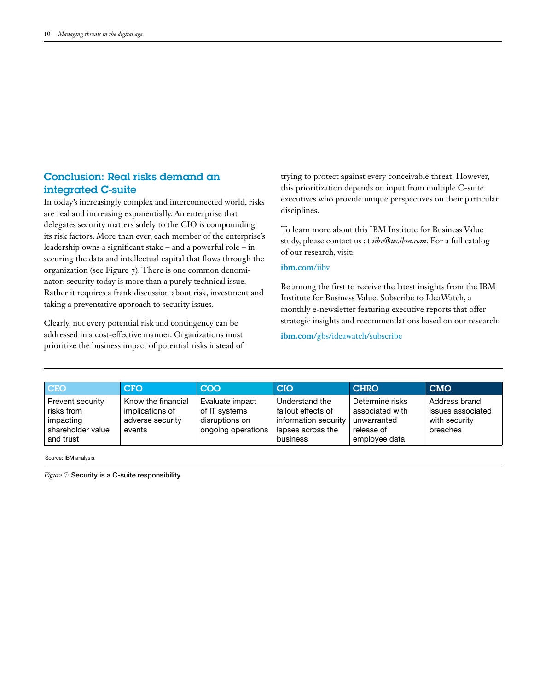## Conclusion: Real risks demand an integrated C-suite

In today's increasingly complex and interconnected world, risks are real and increasing exponentially. An enterprise that delegates security matters solely to the CIO is compounding its risk factors. More than ever, each member of the enterprise's leadership owns a significant stake – and a powerful role – in securing the data and intellectual capital that flows through the organization (see Figure 7). There is one common denominator: security today is more than a purely technical issue. Rather it requires a frank discussion about risk, investment and taking a preventative approach to security issues.

Clearly, not every potential risk and contingency can be addressed in a cost-effective manner. Organizations must prioritize the business impact of potential risks instead of trying to protect against every conceivable threat. However, this prioritization depends on input from multiple C-suite executives who provide unique perspectives on their particular disciplines.

To learn more about this IBM Institute for Business Value study, please contact us at *iibv@us.ibm.com*. For a full catalog of our research, visit:

#### **ibm.com**/iibv

Be among the first to receive the latest insights from the IBM Institute for Business Value. Subscribe to IdeaWatch, a monthly e-newsletter featuring executive reports that offer strategic insights and recommendations based on our research:

**ibm.com**/gbs/ideawatch/subscribe

| <b>CEO</b>                                                                    | CCFO                                                                | COO                                                                      | <b>CIO</b>                                                                                    | <b>CHRO</b>                                                                      | <b>CMO</b>                                                      |
|-------------------------------------------------------------------------------|---------------------------------------------------------------------|--------------------------------------------------------------------------|-----------------------------------------------------------------------------------------------|----------------------------------------------------------------------------------|-----------------------------------------------------------------|
| Prevent security<br>risks from<br>impacting<br>shareholder value<br>and trust | Know the financial<br>implications of<br>adverse security<br>events | Evaluate impact<br>of IT systems<br>disruptions on<br>ongoing operations | Understand the<br>fallout effects of<br>information security<br>lapses across the<br>business | Determine risks<br>associated with<br>unwarranted<br>release of<br>employee data | Address brand<br>issues associated<br>with security<br>breaches |

Source: IBM analysis.

*Figure 7:* Security is a C-suite responsibility.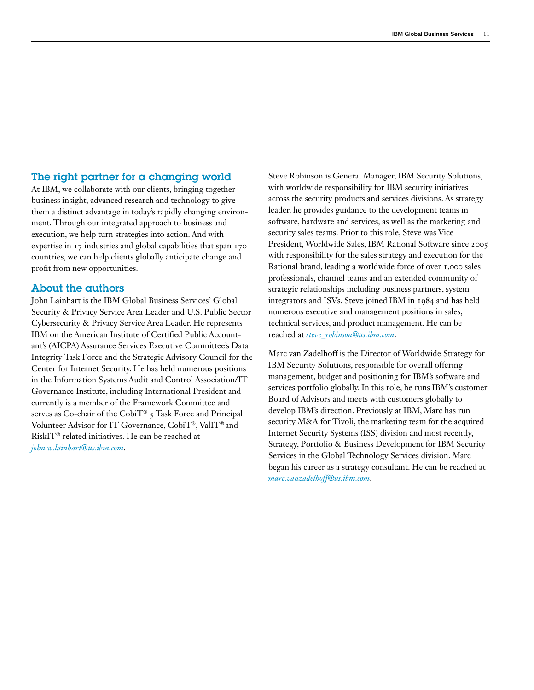## The right partner for a changing world

At IBM, we collaborate with our clients, bringing together business insight, advanced research and technology to give them a distinct advantage in today's rapidly changing environment. Through our integrated approach to business and execution, we help turn strategies into action. And with expertise in 17 industries and global capabilities that span 170 countries, we can help clients globally anticipate change and profit from new opportunities.

### About the authors

John Lainhart is the IBM Global Business Services' Global Security & Privacy Service Area Leader and U.S. Public Sector Cybersecurity & Privacy Service Area Leader. He represents IBM on the American Institute of Certified Public Accountant's (AICPA) Assurance Services Executive Committee's Data Integrity Task Force and the Strategic Advisory Council for the Center for Internet Security. He has held numerous positions in the Information Systems Audit and Control Association/IT Governance Institute, including International President and currently is a member of the Framework Committee and serves as Co-chair of the CobiT® 5 Task Force and Principal Volunteer Advisor for IT Governance, CobiT®, ValIT® and RiskIT® related initiatives. He can be reached at *john.w.lainhart@us.ibm.com*.

Steve Robinson is General Manager, IBM Security Solutions, with worldwide responsibility for IBM security initiatives across the security products and services divisions. As strategy leader, he provides guidance to the development teams in software, hardware and services, as well as the marketing and security sales teams. Prior to this role, Steve was Vice President, Worldwide Sales, IBM Rational Software since 2005 with responsibility for the sales strategy and execution for the Rational brand, leading a worldwide force of over 1,000 sales professionals, channel teams and an extended community of strategic relationships including business partners, system integrators and ISVs. Steve joined IBM in 1984 and has held numerous executive and management positions in sales, technical services, and product management. He can be reached at *steve\_robinson@us.ibm.com*.

Marc van Zadelhoff is the Director of Worldwide Strategy for IBM Security Solutions, responsible for overall offering management, budget and positioning for IBM's software and services portfolio globally. In this role, he runs IBM's customer Board of Advisors and meets with customers globally to develop IBM's direction. Previously at IBM, Marc has run security M&A for Tivoli, the marketing team for the acquired Internet Security Systems (ISS) division and most recently, Strategy, Portfolio & Business Development for IBM Security Services in the Global Technology Services division. Marc began his career as a strategy consultant. He can be reached at *marc.vanzadelhoff@us.ibm.com*.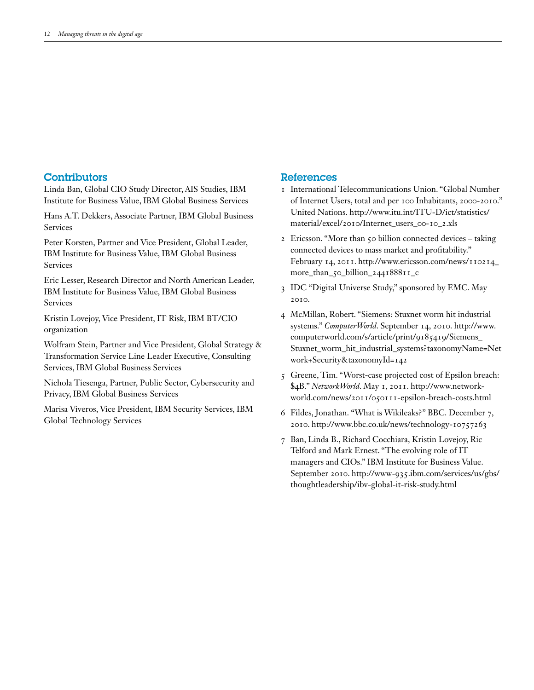## **Contributors**

Linda Ban, Global CIO Study Director, AIS Studies, IBM Institute for Business Value, IBM Global Business Services

Hans A.T. Dekkers, Associate Partner, IBM Global Business Services

Peter Korsten, Partner and Vice President, Global Leader, IBM Institute for Business Value, IBM Global Business Services

Eric Lesser, Research Director and North American Leader, IBM Institute for Business Value, IBM Global Business Services

Kristin Lovejoy, Vice President, IT Risk, IBM BT/CIO organization

Wolfram Stein, Partner and Vice President, Global Strategy & Transformation Service Line Leader Executive, Consulting Services, IBM Global Business Services

Nichola Tiesenga, Partner, Public Sector, Cybersecurity and Privacy, IBM Global Business Services

Marisa Viveros, Vice President, IBM Security Services, IBM Global Technology Services

#### References

- 1 International Telecommunications Union. "Global Number of Internet Users, total and per 100 Inhabitants, 2000-2010." United Nations. http://www.itu.int/ITU-D/ict/statistics/ material/excel/2010/Internet\_users\_00-10\_2.xls
- 2 Ericsson. "More than 50 billion connected devices taking connected devices to mass market and profitability." February 14, 2011. http://www.ericsson.com/news/110214\_ more\_than\_50\_billion\_244188811\_c
- 3 IDC "Digital Universe Study," sponsored by EMC. May 2010.
- 4 McMillan, Robert. "Siemens: Stuxnet worm hit industrial systems." *ComputerWorld*. September 14, 2010. http://www. computerworld.com/s/article/print/9185419/Siemens\_ Stuxnet\_worm\_hit\_industrial\_systems?taxonomyName=Net work+Security&taxonomyId=142
- 5 Greene, Tim. "Worst-case projected cost of Epsilon breach: \$4B." *NetworkWorld*. May 1, 2011. http://www.networkworld.com/news/2011/050111-epsilon-breach-costs.html
- 6 Fildes, Jonathan. "What is Wikileaks?" BBC. December 7, 2010. http://www.bbc.co.uk/news/technology-10757263
- 7 Ban, Linda B., Richard Cocchiara, Kristin Lovejoy, Ric Telford and Mark Ernest. "The evolving role of IT managers and CIOs." IBM Institute for Business Value. September 2010. http://www-935.ibm.com/services/us/gbs/ thoughtleadership/ibv-global-it-risk-study.html